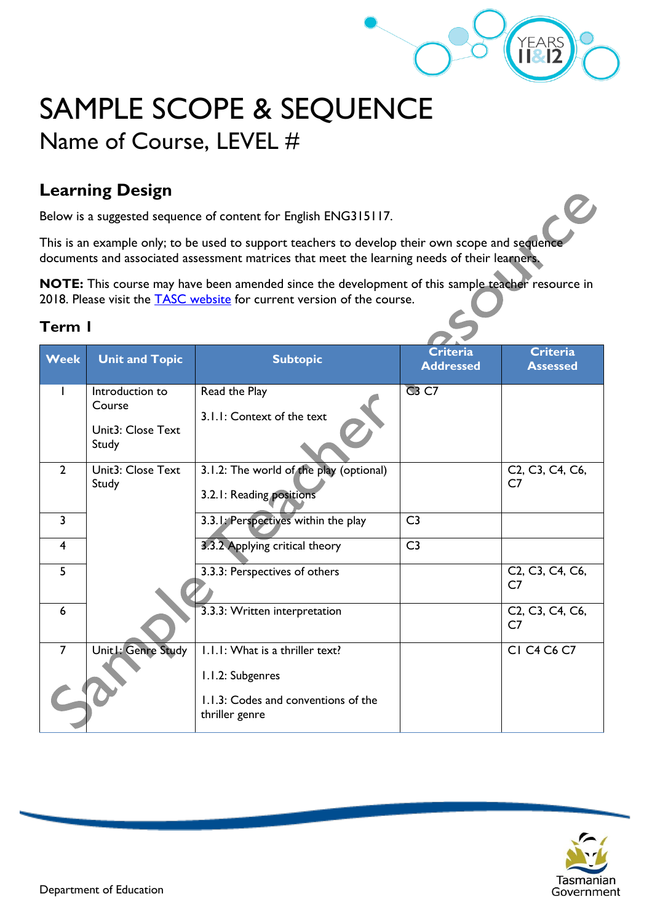

# SAMPLE SCOPE & SEQUENCE Name of Course, LEVEL #

### **Learning Design**

Below is a suggested sequence of content for English ENG315117.

This is an example only; to be used to support teachers to develop their own scope and sequence documents and associated assessment matrices that meet the learning needs of their learners.

**NOTE:** This course may have been amended since the development of this sample teacher resource in 2018. Please visit the **TASC** website for current version of the course.

| Week           | <b>Unit and Topic</b>      | <b>Subtopic</b>                         | <b>Criteria</b><br><b>Addressed</b> | <b>Criteria</b><br><b>Assessed</b> |
|----------------|----------------------------|-----------------------------------------|-------------------------------------|------------------------------------|
|                | Introduction to            | Read the Play                           | <b>C3 C7</b>                        |                                    |
|                | Course                     |                                         |                                     |                                    |
|                |                            | 3.1.1: Context of the text              |                                     |                                    |
|                | Unit3: Close Text<br>Study |                                         |                                     |                                    |
| $\overline{2}$ | Unit3: Close Text          | 3.1.2: The world of the play (optional) |                                     | C2, C3, C4, C6,                    |
|                | Study                      |                                         |                                     | C7                                 |
|                |                            | 3.2.1: Reading positions                |                                     |                                    |
| 3              |                            | 3.3.1: Perspectives within the play     | C <sub>3</sub>                      |                                    |
| 4              |                            | 3.3.2 Applying critical theory          | C <sub>3</sub>                      |                                    |
|                |                            |                                         |                                     |                                    |
| 5              |                            | 3.3.3: Perspectives of others           |                                     | C2, C3, C4, C6,                    |
|                |                            |                                         |                                     | C <sub>7</sub>                     |
| 6              |                            | 3.3.3: Written interpretation           |                                     | C2, C3, C4, C6,                    |
|                |                            |                                         |                                     | C7                                 |
| $\overline{7}$ | Unit1: Genre Study         | I.I.I: What is a thriller text?         |                                     | CI C4 C6 C7                        |
|                |                            | 1.1.2: Subgenres                        |                                     |                                    |
|                |                            | 1.1.3: Codes and conventions of the     |                                     |                                    |
|                |                            | thriller genre                          |                                     |                                    |

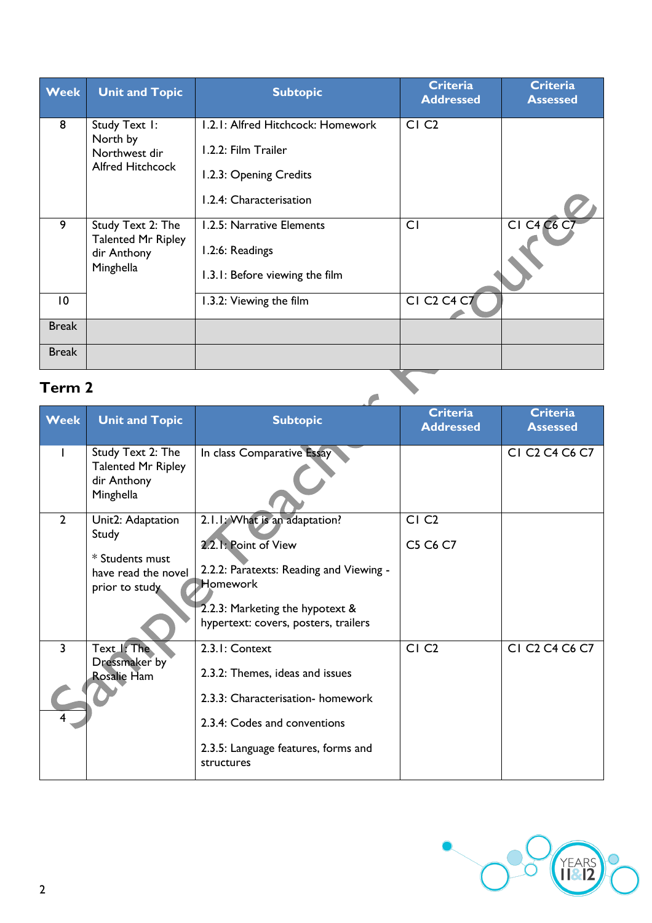| <b>Week</b>     | <b>Unit and Topic</b>                                                      | <b>Subtopic</b>                                                                                               | <b>Criteria</b><br><b>Addressed</b>             | <b>Criteria</b><br><b>Assessed</b> |
|-----------------|----------------------------------------------------------------------------|---------------------------------------------------------------------------------------------------------------|-------------------------------------------------|------------------------------------|
| 8               | Study Text I:<br>North by<br>Northwest dir<br><b>Alfred Hitchcock</b>      | 1.2.1: Alfred Hitchcock: Homework<br>1.2.2: Film Trailer<br>1.2.3: Opening Credits<br>1.2.4: Characterisation | CI <sub>C2</sub>                                |                                    |
| 9               | Study Text 2: The<br><b>Talented Mr Ripley</b><br>dir Anthony<br>Minghella | 1.2.5: Narrative Elements<br>1.2:6: Readings<br>1.3.1: Before viewing the film                                | C <sub>I</sub>                                  | <b>CI C4 C6 C7</b>                 |
| $\overline{10}$ |                                                                            | 1.3.2: Viewing the film                                                                                       | CI C <sub>2</sub> C <sub>4</sub> C <sub>7</sub> |                                    |
| <b>Break</b>    |                                                                            |                                                                                                               |                                                 |                                    |
| <b>Break</b>    |                                                                            |                                                                                                               |                                                 |                                    |
| Term 2          |                                                                            |                                                                                                               |                                                 |                                    |

| <b>Week</b>         | <b>Unit and Topic</b>                                                                  | <b>Subtopic</b>                                                                                                                                                                                | <b>Criteria</b><br><b>Addressed</b> | <b>Criteria</b><br><b>Assessed</b>                             |
|---------------------|----------------------------------------------------------------------------------------|------------------------------------------------------------------------------------------------------------------------------------------------------------------------------------------------|-------------------------------------|----------------------------------------------------------------|
|                     | Study Text 2: The<br><b>Talented Mr Ripley</b><br>dir Anthony<br>Minghella             | In class Comparative Essay                                                                                                                                                                     |                                     | CI C <sub>2</sub> C <sub>4</sub> C <sub>6</sub> C <sub>7</sub> |
| $\overline{2}$      | Unit2: Adaptation<br>Study<br>* Students must<br>have read the novel<br>prior to study | 2.1.1. What is an adaptation?<br>2.2.1: Point of View<br>2.2.2: Paratexts: Reading and Viewing -<br><b>Homework</b><br>2.2.3: Marketing the hypotext &<br>hypertext: covers, posters, trailers | CI <sub>C2</sub><br>C5 C6 C7        |                                                                |
| $\overline{3}$<br>4 | Text I: The<br>Dressmaker by<br><b>Rosalie Ham</b>                                     | 2.3.1: Context<br>2.3.2: Themes, ideas and issues<br>2.3.3: Characterisation-homework<br>2.3.4: Codes and conventions<br>2.3.5: Language features, forms and<br>structures                     | CI <sub>C2</sub>                    | CI C <sub>2</sub> C <sub>4</sub> C <sub>6</sub> C <sub>7</sub> |

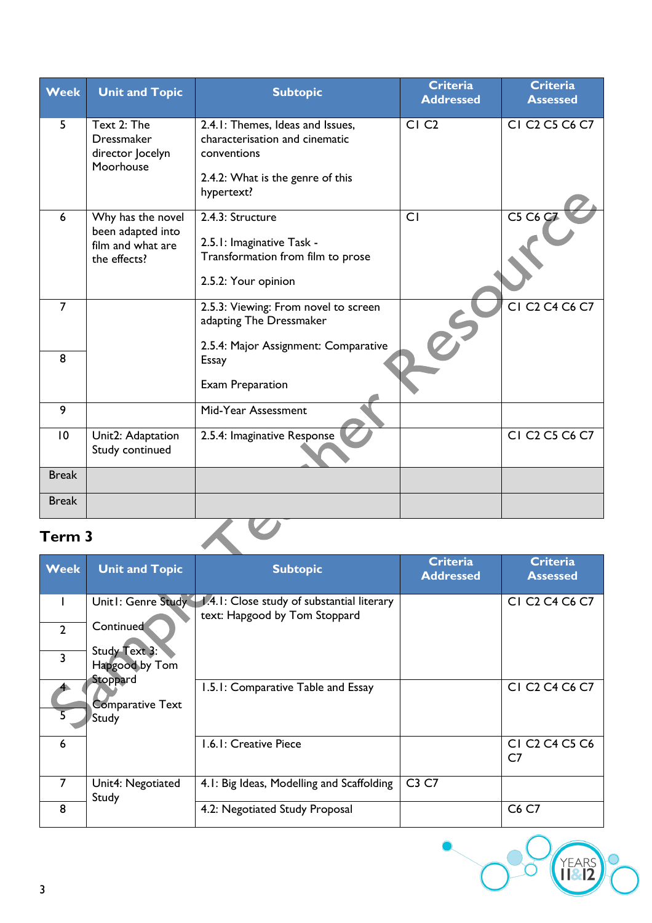| <b>Week</b>  | <b>Unit and Topic</b>                                                       | <b>Subtopic</b>                                                                                                                     | <b>Criteria</b><br><b>Addressed</b> | <b>Criteria</b><br><b>Assessed</b>                                |
|--------------|-----------------------------------------------------------------------------|-------------------------------------------------------------------------------------------------------------------------------------|-------------------------------------|-------------------------------------------------------------------|
| 5            | Text 2: The<br><b>Dressmaker</b><br>director Jocelyn<br>Moorhouse           | 2.4.1: Themes, Ideas and Issues,<br>characterisation and cinematic<br>conventions<br>2.4.2: What is the genre of this<br>hypertext? | CI <sub>C2</sub>                    | CI C <sub>2</sub> C <sub>5</sub> C <sub>6</sub> C <sub>7</sub>    |
| 6            | Why has the novel<br>been adapted into<br>film and what are<br>the effects? | 2.4.3: Structure<br>2.5.1: Imaginative Task -<br>Transformation from film to prose<br>2.5.2: Your opinion                           | CI                                  | C5 C6 C7                                                          |
| 7            |                                                                             | 2.5.3: Viewing: From novel to screen<br>adapting The Dressmaker<br>2.5.4: Major Assignment: Comparative                             |                                     | CI C <sub>2</sub> C <sub>4</sub> C <sub>6</sub> C <sub>7</sub>    |
| 8            |                                                                             | <b>Essay</b><br><b>Exam Preparation</b>                                                                                             |                                     |                                                                   |
| 9            |                                                                             | Mid-Year Assessment                                                                                                                 |                                     |                                                                   |
| 10           | Unit2: Adaptation<br>Study continued                                        | 2.5.4: Imaginative Response                                                                                                         |                                     | <b>CI C<sub>2</sub> C<sub>5</sub> C<sub>6</sub> C<sub>7</sub></b> |
| <b>Break</b> |                                                                             |                                                                                                                                     |                                     |                                                                   |
| <b>Break</b> |                                                                             |                                                                                                                                     |                                     |                                                                   |

| Term <sub>3</sub> |                                                     |                                                                             |                                     |                                                                                  |  |
|-------------------|-----------------------------------------------------|-----------------------------------------------------------------------------|-------------------------------------|----------------------------------------------------------------------------------|--|
| <b>Week</b>       | <b>Unit and Topic</b>                               | <b>Subtopic</b>                                                             | <b>Criteria</b><br><b>Addressed</b> | <b>Criteria</b><br><b>Assessed</b>                                               |  |
|                   | Unit1: Genre Study                                  | 1.4.1: Close study of substantial literary<br>text: Hapgood by Tom Stoppard |                                     | CI C <sub>2</sub> C <sub>4</sub> C <sub>6</sub> C <sub>7</sub>                   |  |
| $\overline{2}$    | Continued                                           |                                                                             |                                     |                                                                                  |  |
| $\overline{3}$    | Study Text 3:<br>Hapgood by Tom                     |                                                                             |                                     |                                                                                  |  |
|                   | Stoppard<br><b>Comparative Text</b><br><b>Study</b> | 1.5.1: Comparative Table and Essay                                          |                                     | CI C <sub>2</sub> C <sub>4</sub> C <sub>6</sub> C <sub>7</sub>                   |  |
| 6                 |                                                     | 1.6.1: Creative Piece                                                       |                                     | CI C <sub>2</sub> C <sub>4</sub> C <sub>5</sub> C <sub>6</sub><br>C <sub>7</sub> |  |
| 7                 | Unit4: Negotiated<br>Study                          | 4.1: Big Ideas, Modelling and Scaffolding                                   | C3 C7                               |                                                                                  |  |
| 8                 |                                                     | 4.2: Negotiated Study Proposal                                              |                                     | C6 C7                                                                            |  |